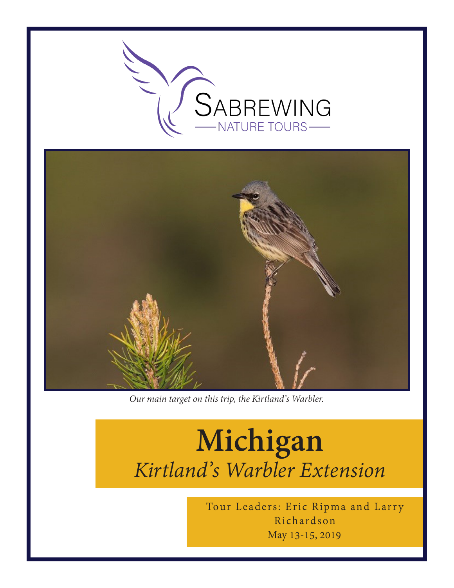



*Our main target on this trip, the Kirtland's Warbler.*

# **Michigan** *Kirtland's Warbler Extension*

May 13-15, 2019 Tour Leaders: Eric Ripma and Larry Richardson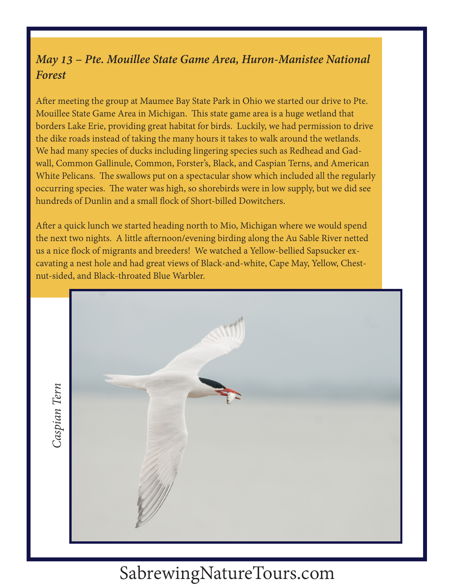#### *May 13 – Pte. Mouillee State Game Area, Huron-Manistee National Forest*

After meeting the group at Maumee Bay State Park in Ohio we started our drive to Pte. Mouillee State Game Area in Michigan. This state game area is a huge wetland that borders Lake Erie, providing great habitat for birds. Luckily, we had permission to drive the dike roads instead of taking the many hours it takes to walk around the wetlands. We had many species of ducks including lingering species such as Redhead and Gadwall, Common Gallinule, Common, Forster's, Black, and Caspian Terns, and American White Pelicans. The swallows put on a spectacular show which included all the regularly occurring species. The water was high, so shorebirds were in low supply, but we did see hundreds of Dunlin and a small flock of Short-billed Dowitchers.

After a quick lunch we started heading north to Mio, Michigan where we would spend the next two nights. A little afternoon/evening birding along the Au Sable River netted us a nice flock of migrants and breeders! We watched a Yellow-bellied Sapsucker excavating a nest hole and had great views of Black-and-white, Cape May, Yellow, Chestnut-sided, and Black-throated Blue Warbler.



SabrewingNatureTours.com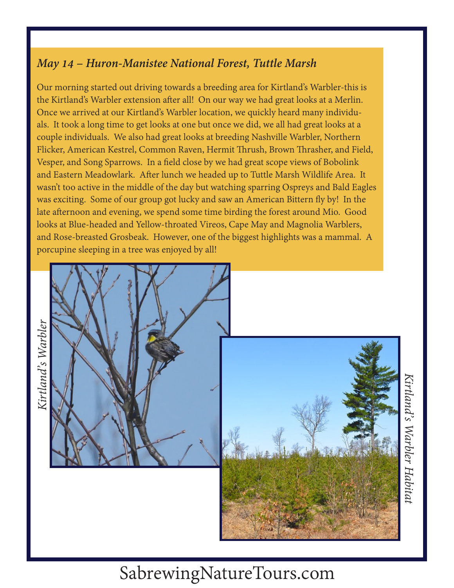#### *May 14 – Huron-Manistee National Forest, Tuttle Marsh*

Our morning started out driving towards a breeding area for Kirtland's Warbler-this is the Kirtland's Warbler extension after all! On our way we had great looks at a Merlin. Once we arrived at our Kirtland's Warbler location, we quickly heard many individuals. It took a long time to get looks at one but once we did, we all had great looks at a couple individuals. We also had great looks at breeding Nashville Warbler, Northern Flicker, American Kestrel, Common Raven, Hermit Thrush, Brown Thrasher, and Field, Vesper, and Song Sparrows. In a field close by we had great scope views of Bobolink and Eastern Meadowlark. After lunch we headed up to Tuttle Marsh Wildlife Area. It wasn't too active in the middle of the day but watching sparring Ospreys and Bald Eagles was exciting. Some of our group got lucky and saw an American Bittern fly by! In the late afternoon and evening, we spend some time birding the forest around Mio. Good looks at Blue-headed and Yellow-throated Vireos, Cape May and Magnolia Warblers, and Rose-breasted Grosbeak. However, one of the biggest highlights was a mammal. A porcupine sleeping in a tree was enjoyed by all!



*Kirtland's Warbler Habitat*Kirtland's Warbler Habita

## SabrewingNatureTours.com